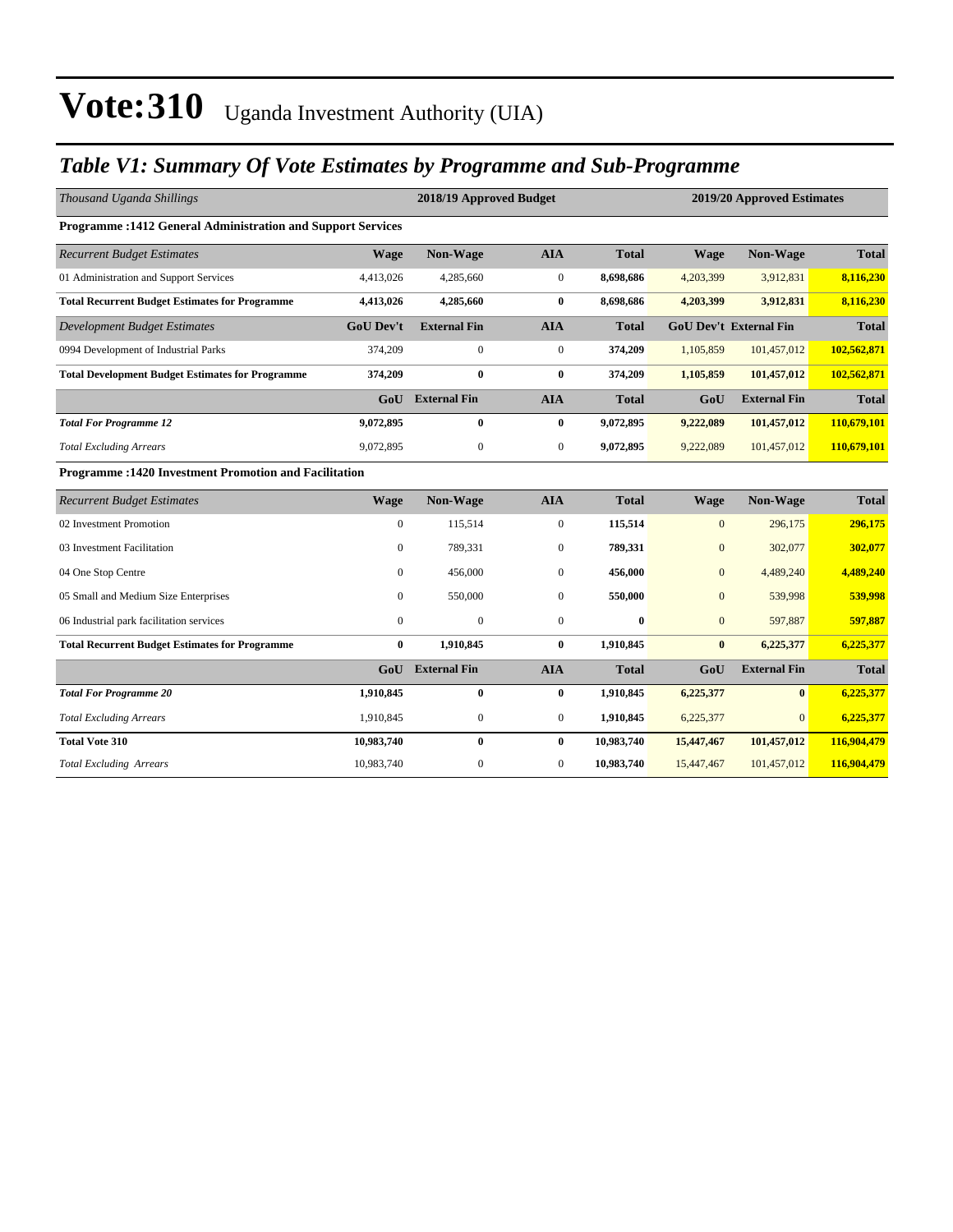### *Table V1: Summary Of Vote Estimates by Programme and Sub-Programme*

| Thousand Uganda Shillings                                          |                  | 2018/19 Approved Budget<br>2019/20 Approved Estimates |                  |              |                  |                               |              |  |
|--------------------------------------------------------------------|------------------|-------------------------------------------------------|------------------|--------------|------------------|-------------------------------|--------------|--|
| <b>Programme: 1412 General Administration and Support Services</b> |                  |                                                       |                  |              |                  |                               |              |  |
| <b>Recurrent Budget Estimates</b>                                  | <b>Wage</b>      | Non-Wage                                              | <b>AIA</b>       | <b>Total</b> | <b>Wage</b>      | <b>Non-Wage</b>               | <b>Total</b> |  |
| 01 Administration and Support Services                             | 4,413,026        | 4,285,660                                             | $\boldsymbol{0}$ | 8,698,686    | 4,203,399        | 3,912,831                     | 8,116,230    |  |
| <b>Total Recurrent Budget Estimates for Programme</b>              | 4,413,026        | 4,285,660                                             | $\bf{0}$         | 8,698,686    | 4,203,399        | 3,912,831                     | 8,116,230    |  |
| <b>Development Budget Estimates</b>                                | <b>GoU Dev't</b> | <b>External Fin</b>                                   | <b>AIA</b>       | <b>Total</b> |                  | <b>GoU Dev't External Fin</b> | <b>Total</b> |  |
| 0994 Development of Industrial Parks                               | 374,209          | 0                                                     | $\boldsymbol{0}$ | 374,209      | 1,105,859        | 101,457,012                   | 102,562,871  |  |
| <b>Total Development Budget Estimates for Programme</b>            | 374,209          | $\bf{0}$                                              | $\bf{0}$         | 374,209      | 1,105,859        | 101,457,012                   | 102,562,871  |  |
|                                                                    |                  | <b>GoU</b> External Fin                               | <b>AIA</b>       | <b>Total</b> | GoU              | <b>External Fin</b>           | <b>Total</b> |  |
| <b>Total For Programme 12</b>                                      | 9,072,895        | $\bf{0}$                                              | $\bf{0}$         | 9,072,895    | 9,222,089        | 101,457,012                   | 110,679,101  |  |
| <b>Total Excluding Arrears</b>                                     | 9,072,895        | $\boldsymbol{0}$                                      | $\boldsymbol{0}$ | 9,072,895    | 9,222,089        | 101,457,012                   | 110,679,101  |  |
| <b>Programme: 1420 Investment Promotion and Facilitation</b>       |                  |                                                       |                  |              |                  |                               |              |  |
| <b>Recurrent Budget Estimates</b>                                  | <b>Wage</b>      | Non-Wage                                              | <b>AIA</b>       | <b>Total</b> | <b>Wage</b>      | <b>Non-Wage</b>               | <b>Total</b> |  |
| 02 Investment Promotion                                            | $\overline{0}$   | 115,514                                               | $\mathbf{0}$     | 115,514      | $\mathbf{0}$     | 296,175                       | 296,175      |  |
| 03 Investment Facilitation                                         | $\mathbf{0}$     | 789,331                                               | $\mathbf{0}$     | 789,331      | $\overline{0}$   | 302,077                       | 302,077      |  |
| 04 One Stop Centre                                                 | $\Omega$         | 456,000                                               | $\mathbf{0}$     | 456,000      | $\overline{0}$   | 4,489,240                     | 4,489,240    |  |
| 05 Small and Medium Size Enterprises                               | $\mathbf{0}$     | 550,000                                               | $\boldsymbol{0}$ | 550,000      | $\overline{0}$   | 539,998                       | 539,998      |  |
| 06 Industrial park facilitation services                           | $\Omega$         | $\mathbf{0}$                                          | $\boldsymbol{0}$ | $\bf{0}$     | $\boldsymbol{0}$ | 597,887                       | 597,887      |  |
| <b>Total Recurrent Budget Estimates for Programme</b>              | $\bf{0}$         | 1,910,845                                             | $\bf{0}$         | 1,910,845    | $\bf{0}$         | 6,225,377                     | 6,225,377    |  |
|                                                                    | GoU              | <b>External Fin</b>                                   | <b>AIA</b>       | <b>Total</b> | GoU              | <b>External Fin</b>           | <b>Total</b> |  |
| <b>Total For Programme 20</b>                                      | 1,910,845        | $\bf{0}$                                              | $\bf{0}$         | 1,910,845    | 6,225,377        | $\mathbf{0}$                  | 6,225,377    |  |
| <b>Total Excluding Arrears</b>                                     | 1,910,845        | $\boldsymbol{0}$                                      | $\boldsymbol{0}$ | 1,910,845    | 6,225,377        | $\overline{0}$                | 6,225,377    |  |
| <b>Total Vote 310</b>                                              | 10,983,740       | $\mathbf{0}$                                          | $\bf{0}$         | 10,983,740   | 15,447,467       | 101,457,012                   | 116,904,479  |  |
| <b>Total Excluding Arrears</b>                                     | 10,983,740       | $\boldsymbol{0}$                                      | $\boldsymbol{0}$ | 10,983,740   | 15,447,467       | 101,457,012                   | 116,904,479  |  |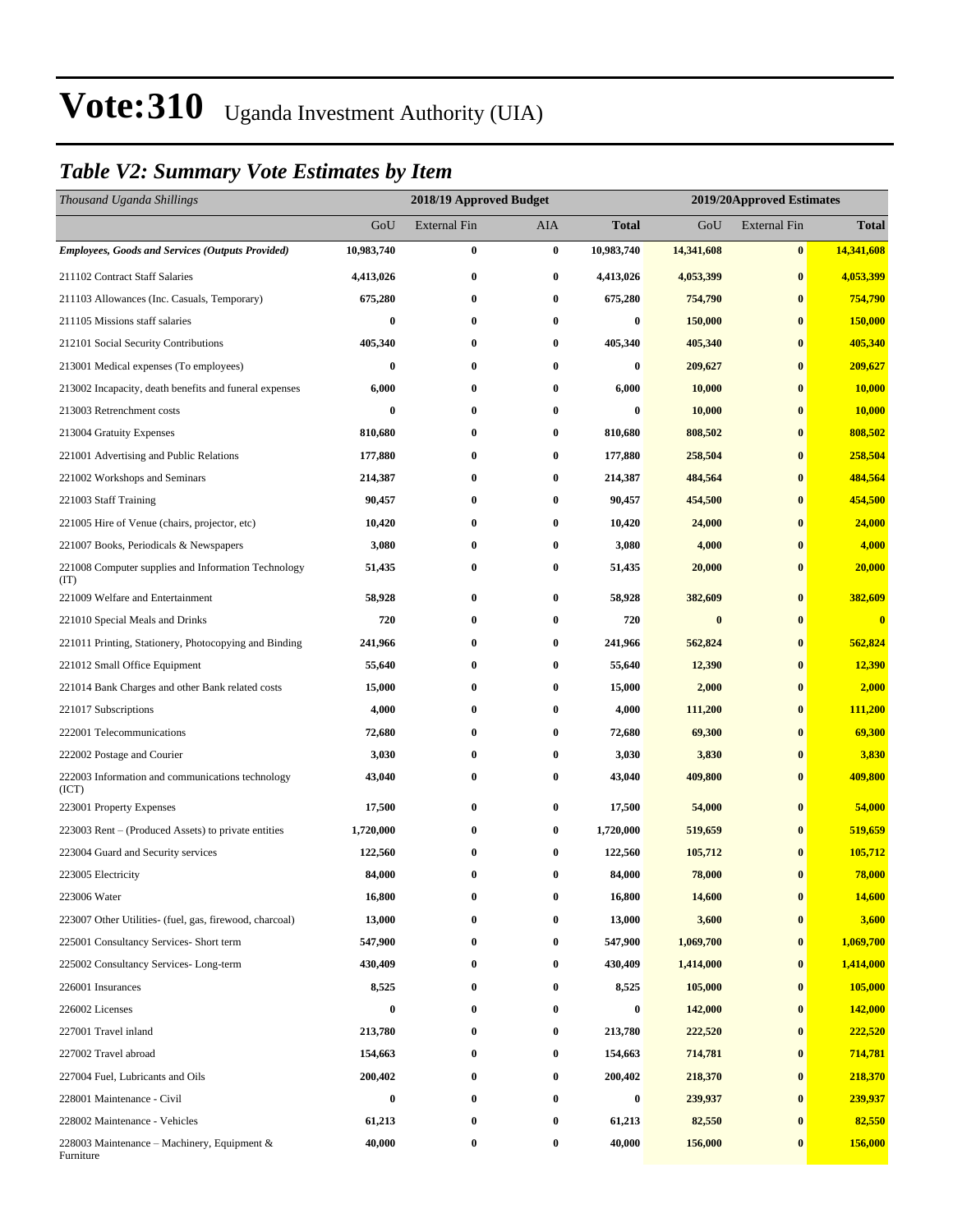### *Table V2: Summary Vote Estimates by Item*

| Thousand Uganda Shillings                                   |                  | 2018/19 Approved Budget |            |              | 2019/20Approved Estimates |                     |              |  |  |
|-------------------------------------------------------------|------------------|-------------------------|------------|--------------|---------------------------|---------------------|--------------|--|--|
|                                                             | GoU              | <b>External Fin</b>     | <b>AIA</b> | <b>Total</b> | GoU                       | <b>External Fin</b> | <b>Total</b> |  |  |
| <b>Employees, Goods and Services (Outputs Provided)</b>     | 10,983,740       | $\bf{0}$                | $\bf{0}$   | 10,983,740   | 14,341,608                | $\bf{0}$            | 14,341,608   |  |  |
| 211102 Contract Staff Salaries                              | 4,413,026        | $\bf{0}$                | $\bf{0}$   | 4,413,026    | 4,053,399                 | $\bf{0}$            | 4,053,399    |  |  |
| 211103 Allowances (Inc. Casuals, Temporary)                 | 675,280          | 0                       | $\bf{0}$   | 675,280      | 754,790                   | $\bf{0}$            | 754,790      |  |  |
| 211105 Missions staff salaries                              | 0                | 0                       | $\bf{0}$   | 0            | 150,000                   | $\bf{0}$            | 150,000      |  |  |
| 212101 Social Security Contributions                        | 405,340          | 0                       | $\bf{0}$   | 405,340      | 405,340                   | $\bf{0}$            | 405,340      |  |  |
| 213001 Medical expenses (To employees)                      | $\bf{0}$         | $\bf{0}$                | $\bf{0}$   | $\bf{0}$     | 209,627                   | $\bf{0}$            | 209,627      |  |  |
| 213002 Incapacity, death benefits and funeral expenses      | 6,000            | $\bf{0}$                | $\bf{0}$   | 6,000        | 10,000                    | $\bf{0}$            | 10,000       |  |  |
| 213003 Retrenchment costs                                   | $\bf{0}$         | 0                       | $\bf{0}$   | $\bf{0}$     | 10,000                    | $\bf{0}$            | 10,000       |  |  |
| 213004 Gratuity Expenses                                    | 810,680          | 0                       | $\bf{0}$   | 810,680      | 808,502                   | $\bf{0}$            | 808,502      |  |  |
| 221001 Advertising and Public Relations                     | 177,880          | 0                       | $\bf{0}$   | 177,880      | 258,504                   | $\bf{0}$            | 258,504      |  |  |
| 221002 Workshops and Seminars                               | 214,387          | 0                       | $\bf{0}$   | 214,387      | 484,564                   | $\bf{0}$            | 484,564      |  |  |
| 221003 Staff Training                                       | 90,457           | $\bf{0}$                | $\bf{0}$   | 90,457       | 454,500                   | $\bf{0}$            | 454,500      |  |  |
| 221005 Hire of Venue (chairs, projector, etc)               | 10,420           | 0                       | $\bf{0}$   | 10,420       | 24,000                    | $\bf{0}$            | 24,000       |  |  |
| 221007 Books, Periodicals & Newspapers                      | 3,080            | 0                       | $\bf{0}$   | 3,080        | 4,000                     | $\bf{0}$            | 4,000        |  |  |
| 221008 Computer supplies and Information Technology<br>(TT) | 51,435           | $\bf{0}$                | $\bf{0}$   | 51,435       | 20,000                    | $\bf{0}$            | 20,000       |  |  |
| 221009 Welfare and Entertainment                            | 58,928           | 0                       | $\bf{0}$   | 58,928       | 382,609                   | $\bf{0}$            | 382,609      |  |  |
| 221010 Special Meals and Drinks                             | 720              | 0                       | $\bf{0}$   | 720          | $\bf{0}$                  | $\bf{0}$            | $\bf{0}$     |  |  |
| 221011 Printing, Stationery, Photocopying and Binding       | 241,966          | $\bf{0}$                | $\bf{0}$   | 241,966      | 562,824                   | $\bf{0}$            | 562,824      |  |  |
| 221012 Small Office Equipment                               | 55,640           | 0                       | $\bf{0}$   | 55,640       | 12,390                    | $\bf{0}$            | 12,390       |  |  |
| 221014 Bank Charges and other Bank related costs            | 15,000           | $\boldsymbol{0}$        | $\bf{0}$   | 15,000       | 2,000                     | $\bf{0}$            | 2,000        |  |  |
| 221017 Subscriptions                                        | 4,000            | 0                       | $\bf{0}$   | 4,000        | 111,200                   | $\bf{0}$            | 111,200      |  |  |
| 222001 Telecommunications                                   | 72,680           | 0                       | $\bf{0}$   | 72,680       | 69,300                    | $\bf{0}$            | 69,300       |  |  |
| 222002 Postage and Courier                                  | 3,030            | $\bf{0}$                | $\bf{0}$   | 3,030        | 3,830                     | $\bf{0}$            | 3,830        |  |  |
| 222003 Information and communications technology<br>(ICT)   | 43,040           | 0                       | $\bf{0}$   | 43,040       | 409,800                   | $\bf{0}$            | 409,800      |  |  |
| 223001 Property Expenses                                    | 17,500           | 0                       | $\bf{0}$   | 17,500       | 54,000                    | $\bf{0}$            | 54,000       |  |  |
| 223003 Rent – (Produced Assets) to private entities         | 1,720,000        | 0                       | $\bf{0}$   | 1,720,000    | 519,659                   | $\bf{0}$            | 519,659      |  |  |
| 223004 Guard and Security services                          | 122,560          | 0                       | $\bf{0}$   | 122,560      | 105,712                   | $\bf{0}$            | 105,712      |  |  |
| 223005 Electricity                                          | 84,000           | $\bf{0}$                | $\bf{0}$   | 84,000       | 78,000                    | $\bf{0}$            | 78,000       |  |  |
| 223006 Water                                                | 16,800           | 0                       | $\bf{0}$   | 16,800       | 14,600                    | $\bf{0}$            | 14,600       |  |  |
| 223007 Other Utilities- (fuel, gas, firewood, charcoal)     | 13,000           | 0                       | $\bf{0}$   | 13,000       | 3,600                     | $\bf{0}$            | 3,600        |  |  |
| 225001 Consultancy Services- Short term                     | 547,900          | $\boldsymbol{0}$        | $\bf{0}$   | 547,900      | 1,069,700                 | $\bf{0}$            | 1,069,700    |  |  |
| 225002 Consultancy Services-Long-term                       | 430,409          | $\bf{0}$                | $\bf{0}$   | 430,409      | 1,414,000                 | $\bf{0}$            | 1,414,000    |  |  |
| 226001 Insurances                                           | 8,525            | $\bf{0}$                | $\bf{0}$   | 8,525        | 105,000                   | $\bf{0}$            | 105,000      |  |  |
| 226002 Licenses                                             | $\bf{0}$         | $\bf{0}$                | $\bf{0}$   | $\bf{0}$     | 142,000                   | $\bf{0}$            | 142,000      |  |  |
| 227001 Travel inland                                        | 213,780          | 0                       | $\bf{0}$   | 213,780      | 222,520                   | $\bf{0}$            | 222,520      |  |  |
| 227002 Travel abroad                                        | 154,663          | 0                       | $\bf{0}$   | 154,663      | 714,781                   | $\bf{0}$            | 714,781      |  |  |
| 227004 Fuel, Lubricants and Oils                            | 200,402          | $\bf{0}$                | $\bf{0}$   | 200,402      | 218,370                   | $\bf{0}$            | 218,370      |  |  |
| 228001 Maintenance - Civil                                  | $\boldsymbol{0}$ | $\bf{0}$                | $\bf{0}$   | $\bf{0}$     | 239,937                   | $\bf{0}$            | 239,937      |  |  |
| 228002 Maintenance - Vehicles                               | 61,213           | $\bf{0}$                | $\bf{0}$   | 61,213       | 82,550                    | $\bf{0}$            | 82,550       |  |  |
| 228003 Maintenance – Machinery, Equipment $\&$<br>Furniture | 40,000           | 0                       | $\bf{0}$   | 40,000       | 156,000                   | $\bf{0}$            | 156,000      |  |  |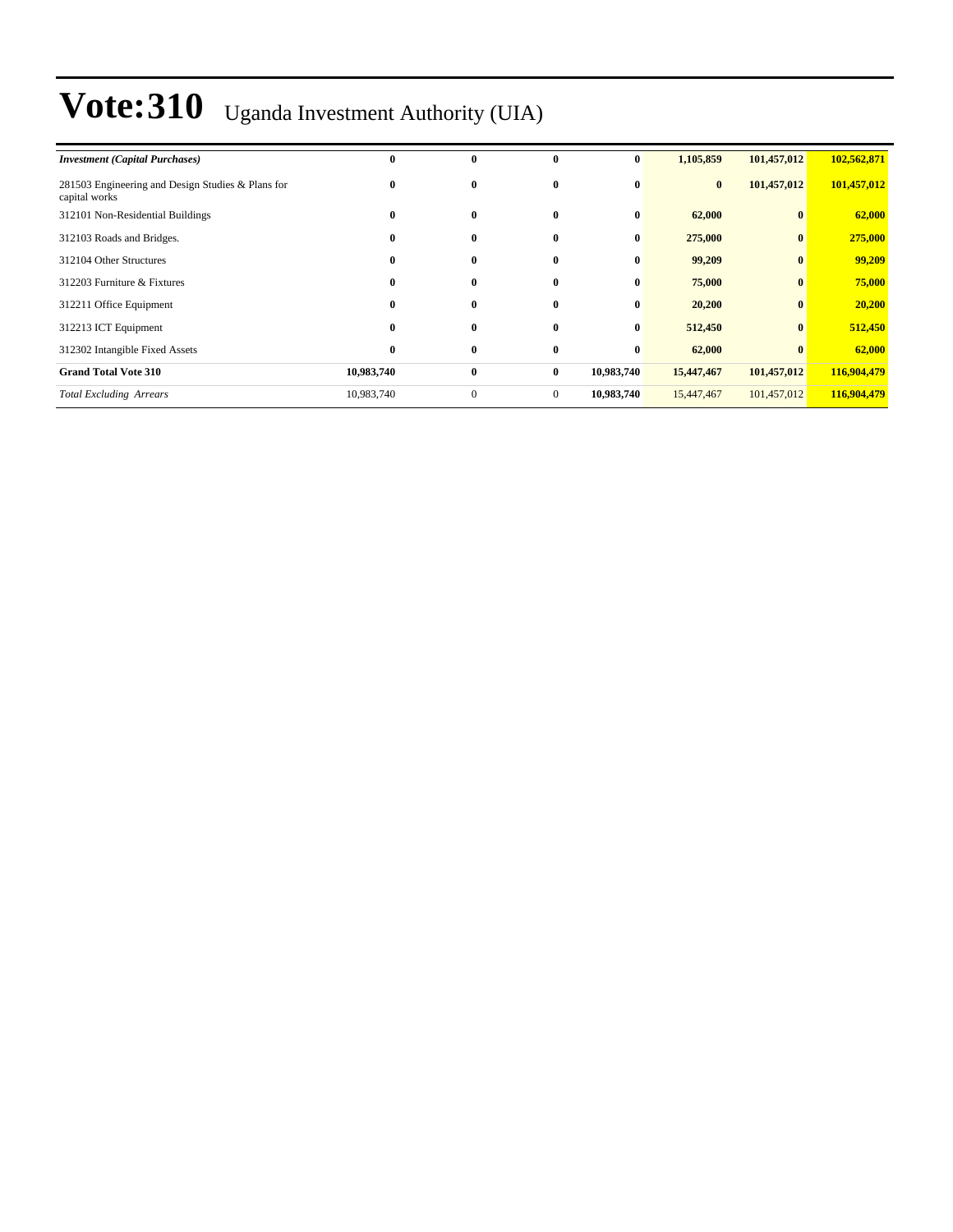| <b>Investment</b> (Capital Purchases)                              | 0          | $\bf{0}$     | $\mathbf{0}$   | $\bf{0}$   | 1,105,859  | 101,457,012  | 102,562,871 |
|--------------------------------------------------------------------|------------|--------------|----------------|------------|------------|--------------|-------------|
| 281503 Engineering and Design Studies & Plans for<br>capital works | $\bf{0}$   | $\bf{0}$     | $\bf{0}$       | $\bf{0}$   | $\bf{0}$   | 101,457,012  | 101,457,012 |
| 312101 Non-Residential Buildings                                   | $\bf{0}$   | $\bf{0}$     | $\mathbf{0}$   | $\bf{0}$   | 62,000     | $\bf{0}$     | 62,000      |
| 312103 Roads and Bridges.                                          | $\bf{0}$   | $\bf{0}$     | $\mathbf{0}$   | $\bf{0}$   | 275,000    | $\bf{0}$     | 275,000     |
| 312104 Other Structures                                            | 0          | $\bf{0}$     | $\bf{0}$       | $\bf{0}$   | 99,209     | $\bf{0}$     | 99,209      |
| 312203 Furniture & Fixtures                                        | $\bf{0}$   | $\bf{0}$     | $\mathbf{0}$   | $\bf{0}$   | 75,000     | $\bf{0}$     | 75,000      |
| 312211 Office Equipment                                            | $\bf{0}$   | $\bf{0}$     | $\mathbf{0}$   | $\bf{0}$   | 20,200     | $\bf{0}$     | 20,200      |
| 312213 ICT Equipment                                               | $\bf{0}$   | $\bf{0}$     | $\mathbf{0}$   | $\bf{0}$   | 512,450    | $\mathbf{0}$ | 512,450     |
| 312302 Intangible Fixed Assets                                     | $\bf{0}$   | $\bf{0}$     | $\bf{0}$       | $\bf{0}$   | 62,000     | $\bf{0}$     | 62,000      |
| <b>Grand Total Vote 310</b>                                        | 10,983,740 | $\bf{0}$     | $\bf{0}$       | 10,983,740 | 15,447,467 | 101,457,012  | 116,904,479 |
| <b>Total Excluding Arrears</b>                                     | 10,983,740 | $\mathbf{0}$ | $\overline{0}$ | 10,983,740 | 15,447,467 | 101,457,012  | 116,904,479 |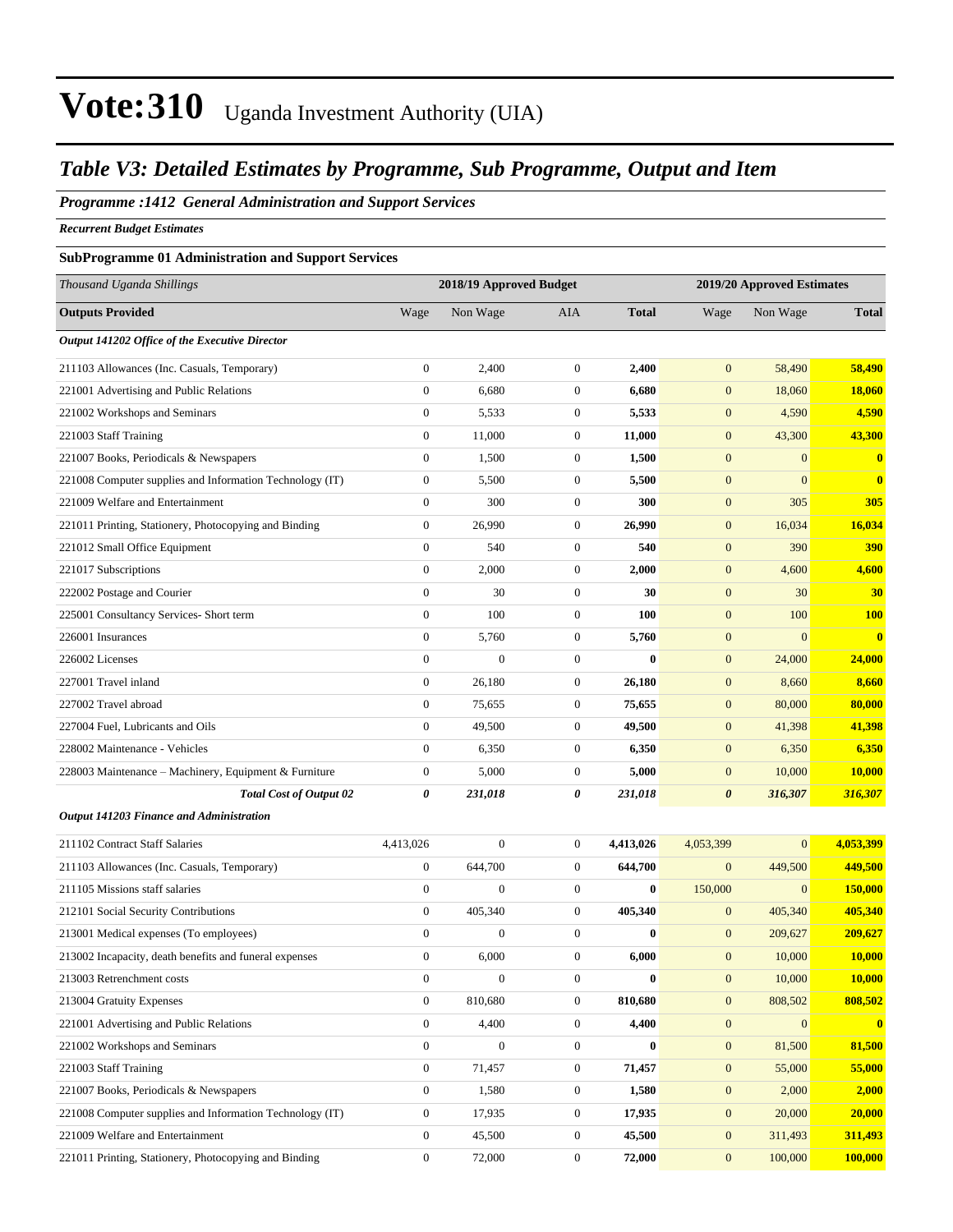#### *Table V3: Detailed Estimates by Programme, Sub Programme, Output and Item*

#### *Programme :1412 General Administration and Support Services*

*Recurrent Budget Estimates*

#### **SubProgramme 01 Administration and Support Services**

| Thousand Uganda Shillings                                |                  | 2018/19 Approved Budget |                  |              |                  | 2019/20 Approved Estimates |              |
|----------------------------------------------------------|------------------|-------------------------|------------------|--------------|------------------|----------------------------|--------------|
| <b>Outputs Provided</b>                                  | Wage             | Non Wage                | AIA              | <b>Total</b> | Wage             | Non Wage                   | <b>Total</b> |
| Output 141202 Office of the Executive Director           |                  |                         |                  |              |                  |                            |              |
| 211103 Allowances (Inc. Casuals, Temporary)              | $\boldsymbol{0}$ | 2,400                   | $\boldsymbol{0}$ | 2,400        | $\boldsymbol{0}$ | 58,490                     | 58,490       |
| 221001 Advertising and Public Relations                  | $\boldsymbol{0}$ | 6,680                   | $\boldsymbol{0}$ | 6,680        | $\mathbf{0}$     | 18,060                     | 18,060       |
| 221002 Workshops and Seminars                            | $\boldsymbol{0}$ | 5,533                   | $\boldsymbol{0}$ | 5,533        | $\mathbf{0}$     | 4,590                      | 4,590        |
| 221003 Staff Training                                    | $\boldsymbol{0}$ | 11,000                  | $\boldsymbol{0}$ | 11,000       | $\mathbf{0}$     | 43,300                     | 43,300       |
| 221007 Books, Periodicals & Newspapers                   | $\boldsymbol{0}$ | 1,500                   | $\boldsymbol{0}$ | 1,500        | $\boldsymbol{0}$ | $\mathbf{0}$               | $\mathbf{0}$ |
| 221008 Computer supplies and Information Technology (IT) | $\boldsymbol{0}$ | 5,500                   | $\boldsymbol{0}$ | 5,500        | $\boldsymbol{0}$ | $\mathbf{0}$               | $\mathbf{0}$ |
| 221009 Welfare and Entertainment                         | $\boldsymbol{0}$ | 300                     | $\boldsymbol{0}$ | 300          | $\boldsymbol{0}$ | 305                        | 305          |
| 221011 Printing, Stationery, Photocopying and Binding    | $\boldsymbol{0}$ | 26,990                  | $\boldsymbol{0}$ | 26,990       | $\boldsymbol{0}$ | 16,034                     | 16,034       |
| 221012 Small Office Equipment                            | $\boldsymbol{0}$ | 540                     | $\boldsymbol{0}$ | 540          | $\mathbf{0}$     | 390                        | 390          |
| 221017 Subscriptions                                     | $\boldsymbol{0}$ | 2,000                   | $\boldsymbol{0}$ | 2,000        | $\boldsymbol{0}$ | 4,600                      | 4,600        |
| 222002 Postage and Courier                               | $\boldsymbol{0}$ | 30                      | $\boldsymbol{0}$ | 30           | $\boldsymbol{0}$ | 30                         | 30           |
| 225001 Consultancy Services- Short term                  | $\boldsymbol{0}$ | 100                     | $\boldsymbol{0}$ | 100          | $\boldsymbol{0}$ | 100                        | <b>100</b>   |
| 226001 Insurances                                        | $\boldsymbol{0}$ | 5,760                   | $\boldsymbol{0}$ | 5,760        | $\boldsymbol{0}$ | $\mathbf{0}$               | $\mathbf{0}$ |
| 226002 Licenses                                          | $\boldsymbol{0}$ | $\mathbf{0}$            | $\boldsymbol{0}$ | $\mathbf{0}$ | $\mathbf{0}$     | 24,000                     | 24,000       |
| 227001 Travel inland                                     | $\boldsymbol{0}$ | 26,180                  | $\boldsymbol{0}$ | 26,180       | $\boldsymbol{0}$ | 8,660                      | 8,660        |
| 227002 Travel abroad                                     | $\boldsymbol{0}$ | 75,655                  | $\boldsymbol{0}$ | 75,655       | $\boldsymbol{0}$ | 80,000                     | 80,000       |
| 227004 Fuel, Lubricants and Oils                         | $\boldsymbol{0}$ | 49,500                  | $\boldsymbol{0}$ | 49,500       | $\boldsymbol{0}$ | 41,398                     | 41,398       |
| 228002 Maintenance - Vehicles                            | $\boldsymbol{0}$ | 6,350                   | $\boldsymbol{0}$ | 6,350        | $\boldsymbol{0}$ | 6,350                      | 6,350        |
| 228003 Maintenance – Machinery, Equipment & Furniture    | $\boldsymbol{0}$ | 5,000                   | $\boldsymbol{0}$ | 5,000        | $\mathbf{0}$     | 10,000                     | 10,000       |
| <b>Total Cost of Output 02</b>                           | 0                | 231,018                 | 0                | 231,018      | 0                | 316,307                    | 316,307      |
| Output 141203 Finance and Administration                 |                  |                         |                  |              |                  |                            |              |
| 211102 Contract Staff Salaries                           | 4,413,026        | $\overline{0}$          | $\boldsymbol{0}$ | 4,413,026    | 4,053,399        | $\mathbf{0}$               | 4,053,399    |
| 211103 Allowances (Inc. Casuals, Temporary)              | $\boldsymbol{0}$ | 644,700                 | $\boldsymbol{0}$ | 644,700      | $\boldsymbol{0}$ | 449,500                    | 449,500      |
| 211105 Missions staff salaries                           | $\boldsymbol{0}$ | $\boldsymbol{0}$        | $\boldsymbol{0}$ | $\bf{0}$     | 150,000          | $\mathbf{0}$               | 150,000      |
| 212101 Social Security Contributions                     | $\boldsymbol{0}$ | 405,340                 | $\boldsymbol{0}$ | 405,340      | $\mathbf{0}$     | 405,340                    | 405,340      |
| 213001 Medical expenses (To employees)                   | $\mathbf{0}$     | $\boldsymbol{0}$        | $\boldsymbol{0}$ | $\bf{0}$     | $\mathbf{0}$     | 209,627                    | 209,627      |
| 213002 Incapacity, death benefits and funeral expenses   | $\boldsymbol{0}$ | 6,000                   | $\boldsymbol{0}$ | 6,000        | $\boldsymbol{0}$ | 10,000                     | 10,000       |
| 213003 Retrenchment costs                                | $\boldsymbol{0}$ | $\boldsymbol{0}$        | $\boldsymbol{0}$ | $\bf{0}$     | $\boldsymbol{0}$ | 10,000                     | 10,000       |
| 213004 Gratuity Expenses                                 | $\boldsymbol{0}$ | 810,680                 | $\boldsymbol{0}$ | 810,680      | $\boldsymbol{0}$ | 808,502                    | 808,502      |
| 221001 Advertising and Public Relations                  | $\boldsymbol{0}$ | 4,400                   | $\boldsymbol{0}$ | 4,400        | $\boldsymbol{0}$ | $\mathbf{0}$               | $\mathbf{0}$ |
| 221002 Workshops and Seminars                            | $\boldsymbol{0}$ | $\boldsymbol{0}$        | $\boldsymbol{0}$ | $\bf{0}$     | $\mathbf{0}$     | 81,500                     | 81,500       |
| 221003 Staff Training                                    | $\boldsymbol{0}$ | 71,457                  | $\boldsymbol{0}$ | 71,457       | $\mathbf{0}$     | 55,000                     | 55,000       |
| 221007 Books, Periodicals & Newspapers                   | $\boldsymbol{0}$ | 1,580                   | $\boldsymbol{0}$ | 1,580        | $\boldsymbol{0}$ | 2,000                      | 2,000        |
| 221008 Computer supplies and Information Technology (IT) | $\boldsymbol{0}$ | 17,935                  | $\boldsymbol{0}$ | 17,935       | $\boldsymbol{0}$ | 20,000                     | 20,000       |
| 221009 Welfare and Entertainment                         | $\boldsymbol{0}$ | 45,500                  | $\boldsymbol{0}$ | 45,500       | $\mathbf{0}$     | 311,493                    | 311,493      |
| 221011 Printing, Stationery, Photocopying and Binding    | $\boldsymbol{0}$ | 72,000                  | $\boldsymbol{0}$ | 72,000       | $\mathbf{0}$     | 100,000                    | 100,000      |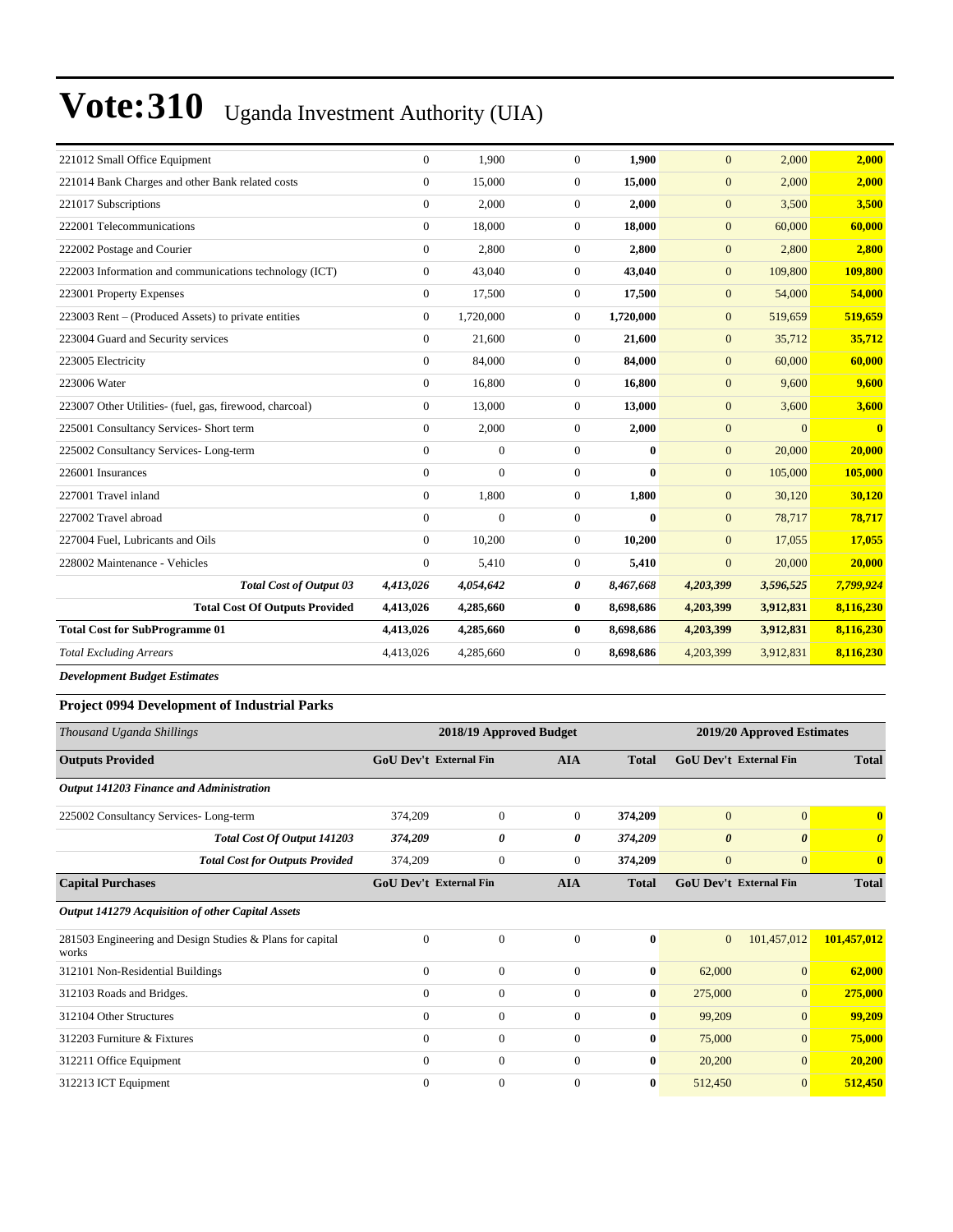| 221012 Small Office Equipment                           | $\overline{0}$ | 1.900          | $\Omega$       | 1,900        | $\mathbf{0}$     | 2,000     | 2,000     |
|---------------------------------------------------------|----------------|----------------|----------------|--------------|------------------|-----------|-----------|
| 221014 Bank Charges and other Bank related costs        | $\overline{0}$ | 15,000         | $\overline{0}$ | 15,000       | $\mathbf{0}$     | 2,000     | 2,000     |
| 221017 Subscriptions                                    | $\overline{0}$ | 2,000          | $\overline{0}$ | 2,000        | $\overline{0}$   | 3,500     | 3,500     |
| 222001 Telecommunications                               | $\Omega$       | 18,000         | $\Omega$       | 18,000       | $\overline{0}$   | 60,000    | 60,000    |
| 222002 Postage and Courier                              | $\overline{0}$ | 2,800          | $\overline{0}$ | 2,800        | $\mathbf{0}$     | 2,800     | 2,800     |
| 222003 Information and communications technology (ICT)  | $\overline{0}$ | 43,040         | $\mathbf{0}$   | 43,040       | $\mathbf{0}$     | 109,800   | 109,800   |
| 223001 Property Expenses                                | $\overline{0}$ | 17,500         | $\overline{0}$ | 17,500       | $\overline{0}$   | 54,000    | 54,000    |
| 223003 Rent – (Produced Assets) to private entities     | $\overline{0}$ | 1,720,000      | $\overline{0}$ | 1,720,000    | $\overline{0}$   | 519,659   | 519,659   |
| 223004 Guard and Security services                      | $\overline{0}$ | 21,600         | $\overline{0}$ | 21,600       | $\overline{0}$   | 35,712    | 35,712    |
| 223005 Electricity                                      | $\overline{0}$ | 84,000         | $\overline{0}$ | 84,000       | $\overline{0}$   | 60,000    | 60,000    |
| 223006 Water                                            | $\overline{0}$ | 16,800         | $\overline{0}$ | 16,800       | $\mathbf{0}$     | 9,600     | 9,600     |
| 223007 Other Utilities- (fuel, gas, firewood, charcoal) | $\overline{0}$ | 13,000         | $\overline{0}$ | 13,000       | $\overline{0}$   | 3,600     | 3,600     |
| 225001 Consultancy Services- Short term                 | $\overline{0}$ | 2,000          | $\overline{0}$ | 2,000        | $\mathbf{0}$     | $\Omega$  | $\bf{0}$  |
| 225002 Consultancy Services-Long-term                   | $\overline{0}$ | $\overline{0}$ | $\overline{0}$ | $\mathbf{0}$ | $\overline{0}$   | 20,000    | 20,000    |
| 226001 Insurances                                       | $\overline{0}$ | $\overline{0}$ | $\overline{0}$ | $\mathbf{0}$ | $\mathbf{0}$     | 105,000   | 105,000   |
| 227001 Travel inland                                    | $\overline{0}$ | 1.800          | $\overline{0}$ | 1,800        | $\overline{0}$   | 30,120    | 30,120    |
| 227002 Travel abroad                                    | $\Omega$       | $\overline{0}$ | $\Omega$       | $\mathbf{0}$ | $\overline{0}$   | 78,717    | 78,717    |
| 227004 Fuel, Lubricants and Oils                        | $\Omega$       | 10,200         | $\overline{0}$ | 10,200       | $\overline{0}$   | 17,055    | 17,055    |
| 228002 Maintenance - Vehicles                           | $\overline{0}$ | 5,410          | $\overline{0}$ | 5,410        | $\boldsymbol{0}$ | 20,000    | 20,000    |
| <b>Total Cost of Output 03</b>                          | 4,413,026      | 4,054,642      | 0              | 8,467,668    | 4,203,399        | 3,596,525 | 7,799,924 |
| <b>Total Cost Of Outputs Provided</b>                   | 4,413,026      | 4,285,660      | $\bf{0}$       | 8,698,686    | 4,203,399        | 3,912,831 | 8,116,230 |
| <b>Total Cost for SubProgramme 01</b>                   | 4,413,026      | 4,285,660      | $\bf{0}$       | 8,698,686    | 4,203,399        | 3,912,831 | 8,116,230 |
| <b>Total Excluding Arrears</b>                          | 4,413,026      | 4,285,660      | $\overline{0}$ | 8,698,686    | 4,203,399        | 3,912,831 | 8,116,230 |
|                                                         |                |                |                |              |                  |           |           |

*Development Budget Estimates*

#### **Project 0994 Development of Industrial Parks**

| Thousand Uganda Shillings                         |                                                           | 2018/19 Approved Budget       |                  |                |              | 2019/20 Approved Estimates    |                       |                       |  |
|---------------------------------------------------|-----------------------------------------------------------|-------------------------------|------------------|----------------|--------------|-------------------------------|-----------------------|-----------------------|--|
| <b>Outputs Provided</b>                           |                                                           | <b>GoU Dev't External Fin</b> |                  | <b>AIA</b>     | <b>Total</b> | <b>GoU Dev't External Fin</b> |                       | <b>Total</b>          |  |
| Output 141203 Finance and Administration          |                                                           |                               |                  |                |              |                               |                       |                       |  |
| 225002 Consultancy Services-Long-term             |                                                           | 374,209                       | $\Omega$         | $\overline{0}$ | 374,209      | $\mathbf{0}$                  | $\Omega$              | $\mathbf{0}$          |  |
|                                                   | <b>Total Cost Of Output 141203</b>                        | 374,209                       | 0                | 0              | 374,209      | $\boldsymbol{\theta}$         | $\boldsymbol{\theta}$ | $\boldsymbol{\theta}$ |  |
|                                                   | <b>Total Cost for Outputs Provided</b>                    | 374,209                       | $\boldsymbol{0}$ | $\overline{0}$ | 374,209      | $\overline{0}$                | $\overline{0}$        | $\mathbf{0}$          |  |
| <b>Capital Purchases</b>                          |                                                           | <b>GoU Dev't External Fin</b> |                  | <b>AIA</b>     | <b>Total</b> | GoU Dev't External Fin        |                       | <b>Total</b>          |  |
| Output 141279 Acquisition of other Capital Assets |                                                           |                               |                  |                |              |                               |                       |                       |  |
| works                                             | 281503 Engineering and Design Studies & Plans for capital | $\theta$                      | $\Omega$         | $\Omega$       | $\mathbf{0}$ | $\mathbf{0}$                  | 101,457,012           | 101,457,012           |  |
| 312101 Non-Residential Buildings                  |                                                           | $\mathbf{0}$                  | $\Omega$         | $\theta$       | $\bf{0}$     | 62,000                        | $\vert 0 \vert$       | 62,000                |  |
| 312103 Roads and Bridges.                         |                                                           | $\theta$                      | $\Omega$         | $\theta$       | $\bf{0}$     | 275,000                       | $\overline{0}$        | 275,000               |  |
| 312104 Other Structures                           |                                                           | $\Omega$                      | $\Omega$         | $\Omega$       | $\bf{0}$     | 99,209                        | $\overline{0}$        | 99,209                |  |
| 312203 Furniture & Fixtures                       |                                                           | $\mathbf{0}$                  | $\mathbf{0}$     | $\overline{0}$ | $\bf{0}$     | 75,000                        | $\vert 0 \vert$       | 75,000                |  |
| 312211 Office Equipment                           |                                                           | $\Omega$                      | $\overline{0}$   | $\theta$       | $\bf{0}$     | 20,200                        | $\overline{0}$        | 20,200                |  |
| 312213 ICT Equipment                              |                                                           | $\Omega$                      | $\overline{0}$   | $\Omega$       | $\bf{0}$     | 512,450                       | $\overline{0}$        | 512,450               |  |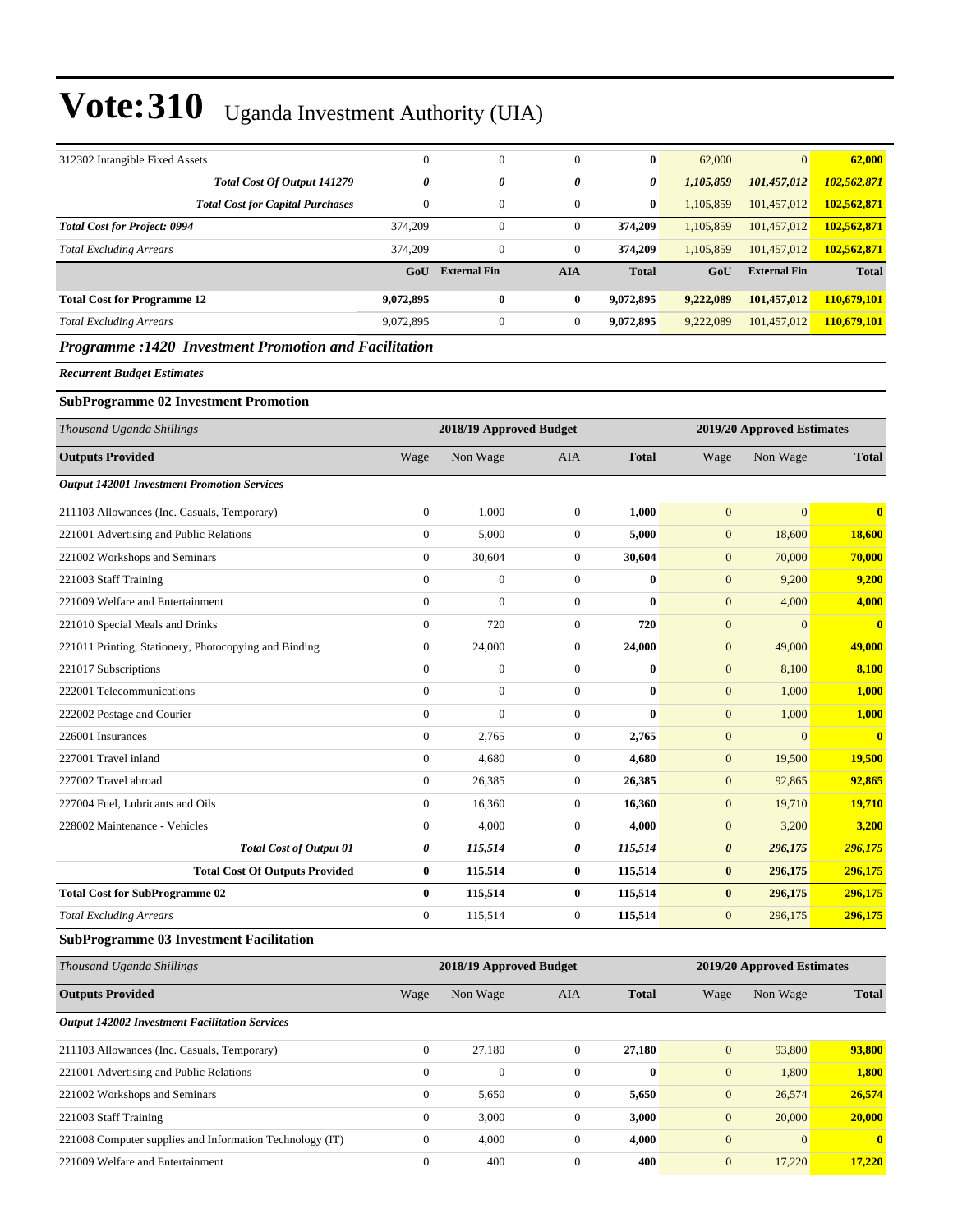| 312302 Intangible Fixed Assets          | $\mathbf{0}$ | $\mathbf{0}$        | $\overline{0}$ | $\bf{0}$     | 62,000    | $\vert 0 \vert$     | 62,000       |
|-----------------------------------------|--------------|---------------------|----------------|--------------|-----------|---------------------|--------------|
| Total Cost Of Output 141279             | 0            | 0                   | 0              | 0            | 1,105,859 | 101,457,012         | 102,562,871  |
| <b>Total Cost for Capital Purchases</b> |              | $\mathbf{0}$        | $\mathbf{0}$   | $\bf{0}$     | 1,105,859 | 101,457,012         | 102,562,871  |
| <b>Total Cost for Project: 0994</b>     | 374,209      | $\mathbf{0}$        | $\mathbf{0}$   | 374,209      | 1.105.859 | 101.457.012         | 102,562,871  |
| <b>Total Excluding Arrears</b>          | 374,209      | $\mathbf{0}$        | $\mathbf{0}$   | 374,209      | 1.105.859 | 101.457.012         | 102,562,871  |
|                                         | GoU          | <b>External Fin</b> | <b>AIA</b>     | <b>Total</b> | GoU       | <b>External Fin</b> | <b>Total</b> |
| <b>Total Cost for Programme 12</b>      | 9,072,895    | $\bf{0}$            | $\bf{0}$       | 9.072.895    | 9,222,089 | 101.457.012         | 110,679,101  |
| <b>Total Excluding Arrears</b>          | 9.072.895    | $\mathbf{0}$        | $\mathbf{0}$   | 9.072.895    | 9,222,089 | 101,457,012         | 110,679,101  |
|                                         |              |                     |                |              |           |                     |              |

#### *Programme :1420 Investment Promotion and Facilitation*

*Recurrent Budget Estimates*

#### **SubProgramme 02 Investment Promotion**

| Thousand Uganda Shillings                             |                | 2018/19 Approved Budget |                | 2019/20 Approved Estimates |                  |                |              |
|-------------------------------------------------------|----------------|-------------------------|----------------|----------------------------|------------------|----------------|--------------|
| <b>Outputs Provided</b>                               | Wage           | Non Wage                | <b>AIA</b>     | <b>Total</b>               | Wage             | Non Wage       | <b>Total</b> |
| <b>Output 142001 Investment Promotion Services</b>    |                |                         |                |                            |                  |                |              |
| 211103 Allowances (Inc. Casuals, Temporary)           | $\overline{0}$ | 1,000                   | $\mathbf{0}$   | 1,000                      | $\boldsymbol{0}$ | $\overline{0}$ | $\bf{0}$     |
| 221001 Advertising and Public Relations               | $\overline{0}$ | 5,000                   | $\Omega$       | 5,000                      | $\mathbf{0}$     | 18,600         | 18,600       |
| 221002 Workshops and Seminars                         | $\overline{0}$ | 30,604                  | $\mathbf{0}$   | 30,604                     | $\mathbf{0}$     | 70,000         | 70,000       |
| 221003 Staff Training                                 | $\overline{0}$ | $\overline{0}$          | $\mathbf{0}$   | $\bf{0}$                   | $\overline{0}$   | 9,200          | 9,200        |
| 221009 Welfare and Entertainment                      | $\overline{0}$ | $\mathbf{0}$            | $\mathbf{0}$   | $\bf{0}$                   | $\overline{0}$   | 4,000          | 4,000        |
| 221010 Special Meals and Drinks                       | $\overline{0}$ | 720                     | $\mathbf{0}$   | 720                        | $\overline{0}$   | $\mathbf{0}$   | $\bf{0}$     |
| 221011 Printing, Stationery, Photocopying and Binding | $\overline{0}$ | 24,000                  | $\overline{0}$ | 24,000                     | $\overline{0}$   | 49,000         | 49,000       |
| 221017 Subscriptions                                  | $\overline{0}$ | $\overline{0}$          | $\overline{0}$ | $\bf{0}$                   | $\overline{0}$   | 8,100          | 8,100        |
| 222001 Telecommunications                             | $\overline{0}$ | $\overline{0}$          | $\mathbf{0}$   | $\mathbf{0}$               | $\boldsymbol{0}$ | 1,000          | 1,000        |
| 222002 Postage and Courier                            | $\overline{0}$ | $\overline{0}$          | $\mathbf{0}$   | $\mathbf{0}$               | $\overline{0}$   | 1,000          | 1,000        |
| 226001 Insurances                                     | $\overline{0}$ | 2,765                   | $\mathbf{0}$   | 2,765                      | $\mathbf{0}$     | $\Omega$       | $\bf{0}$     |
| 227001 Travel inland                                  | $\overline{0}$ | 4,680                   | $\mathbf{0}$   | 4,680                      | $\mathbf{0}$     | 19,500         | 19,500       |
| 227002 Travel abroad                                  | $\overline{0}$ | 26,385                  | $\mathbf{0}$   | 26,385                     | $\mathbf{0}$     | 92,865         | 92,865       |
| 227004 Fuel, Lubricants and Oils                      | $\overline{0}$ | 16,360                  | $\overline{0}$ | 16,360                     | $\boldsymbol{0}$ | 19,710         | 19,710       |
| 228002 Maintenance - Vehicles                         | $\overline{0}$ | 4,000                   | $\mathbf{0}$   | 4,000                      | $\mathbf{0}$     | 3,200          | 3,200        |
| <b>Total Cost of Output 01</b>                        | 0              | 115,514                 | 0              | 115,514                    | 0                | 296,175        | 296,175      |
| <b>Total Cost Of Outputs Provided</b>                 | 0              | 115,514                 | $\bf{0}$       | 115,514                    | $\bf{0}$         | 296,175        | 296,175      |
| <b>Total Cost for SubProgramme 02</b>                 | $\bf{0}$       | 115,514                 | $\bf{0}$       | 115,514                    | $\bf{0}$         | 296,175        | 296,175      |
| <b>Total Excluding Arrears</b>                        | $\overline{0}$ | 115,514                 | $\mathbf{0}$   | 115,514                    | $\overline{0}$   | 296,175        | 296,175      |

#### **SubProgramme 03 Investment Facilitation**

| Thousand Uganda Shillings                                | 2018/19 Approved Budget |              |              |              | 2019/20 Approved Estimates |          |              |
|----------------------------------------------------------|-------------------------|--------------|--------------|--------------|----------------------------|----------|--------------|
| <b>Outputs Provided</b>                                  | Wage                    | Non Wage     | AIA          | <b>Total</b> | Wage                       | Non Wage | <b>Total</b> |
| <b>Output 142002 Investment Facilitation Services</b>    |                         |              |              |              |                            |          |              |
| 211103 Allowances (Inc. Casuals, Temporary)              | $\mathbf{0}$            | 27,180       | $\Omega$     | 27.180       | $\mathbf{0}$               | 93,800   | 93,800       |
| 221001 Advertising and Public Relations                  | $\mathbf{0}$            | $\mathbf{0}$ | $\mathbf{0}$ | $\bf{0}$     | $\mathbf{0}$               | 1,800    | 1,800        |
| 221002 Workshops and Seminars                            | $\mathbf{0}$            | 5,650        | $\mathbf{0}$ | 5,650        | $\mathbf{0}$               | 26,574   | 26,574       |
| 221003 Staff Training                                    | $\mathbf{0}$            | 3,000        | $\mathbf{0}$ | 3,000        | $\mathbf{0}$               | 20,000   | 20,000       |
| 221008 Computer supplies and Information Technology (IT) | $\mathbf{0}$            | 4,000        | $\mathbf{0}$ | 4.000        | $\mathbf{0}$               | $\Omega$ | $\mathbf{0}$ |
| 221009 Welfare and Entertainment                         | $\mathbf{0}$            | 400          | $\Omega$     | 400          | $\mathbf{0}$               | 17,220   | 17,220       |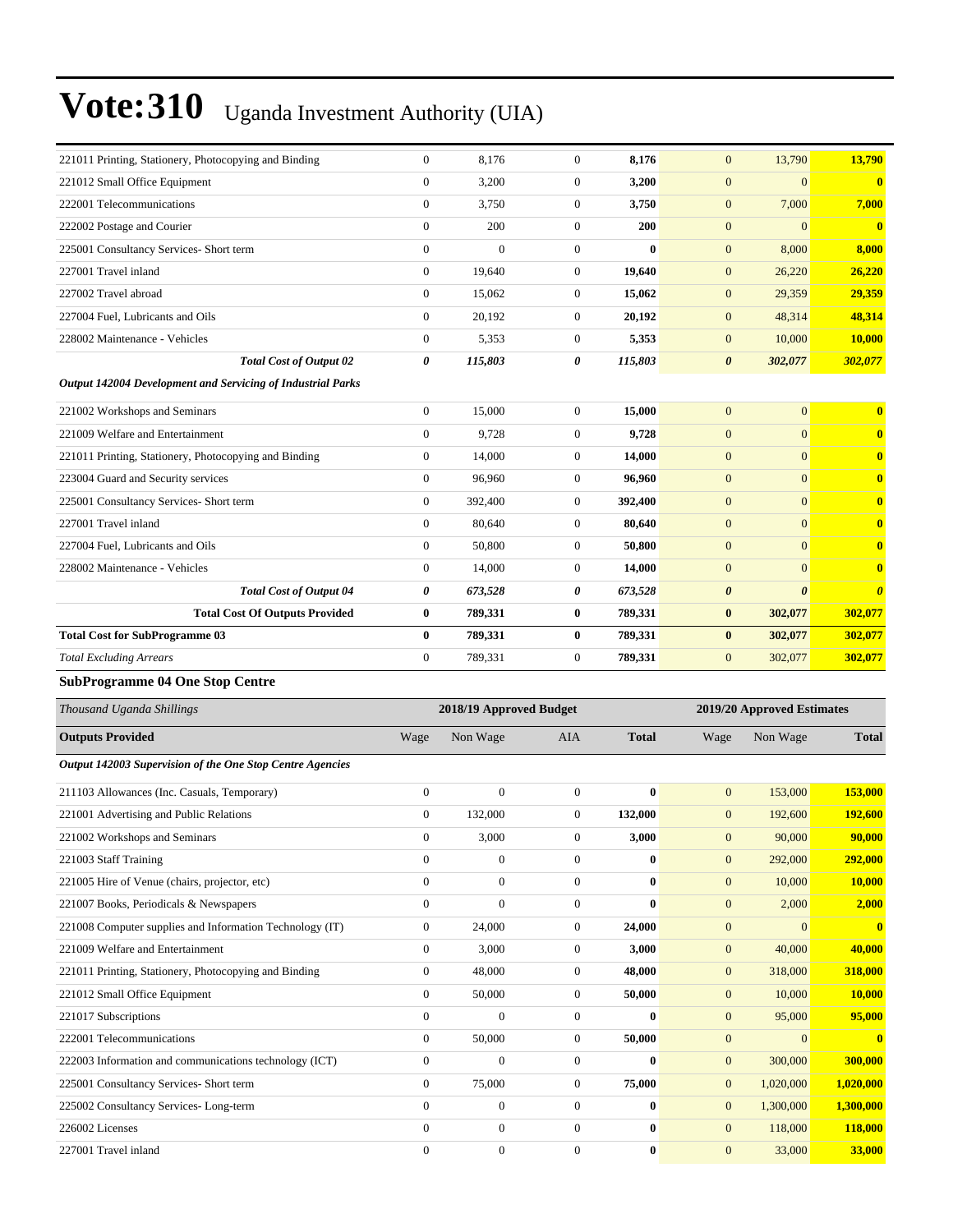| 221011 Printing, Stationery, Photocopying and Binding       | $\mathbf{0}$                         | 8,176                   | $\boldsymbol{0}$ | 8,176        | $\mathbf{0}$          | 13,790                     | 13,790                |
|-------------------------------------------------------------|--------------------------------------|-------------------------|------------------|--------------|-----------------------|----------------------------|-----------------------|
| 221012 Small Office Equipment                               | $\boldsymbol{0}$                     | 3,200                   | 0                | 3,200        | $\mathbf{0}$          | $\overline{0}$             | $\mathbf{0}$          |
| 222001 Telecommunications                                   | $\boldsymbol{0}$                     | 3,750                   | $\boldsymbol{0}$ | 3,750        | $\mathbf{0}$          | 7,000                      | 7,000                 |
| 222002 Postage and Courier                                  | $\boldsymbol{0}$                     | 200                     | $\boldsymbol{0}$ | 200          | $\boldsymbol{0}$      | $\mathbf{0}$               | $\mathbf{0}$          |
| 225001 Consultancy Services- Short term                     | $\boldsymbol{0}$                     | $\overline{0}$          | $\boldsymbol{0}$ | $\bf{0}$     | $\mathbf{0}$          | 8,000                      | 8,000                 |
| 227001 Travel inland                                        | $\boldsymbol{0}$                     | 19,640                  | $\boldsymbol{0}$ | 19,640       | $\mathbf{0}$          | 26,220                     | 26,220                |
| 227002 Travel abroad                                        | $\boldsymbol{0}$                     | 15,062                  | 0                | 15,062       | $\mathbf{0}$          | 29,359                     | 29,359                |
| 227004 Fuel, Lubricants and Oils                            | $\boldsymbol{0}$                     | 20,192                  | $\boldsymbol{0}$ | 20,192       | $\mathbf{0}$          | 48,314                     | 48,314                |
| 228002 Maintenance - Vehicles                               | $\boldsymbol{0}$                     | 5,353                   | $\boldsymbol{0}$ | 5,353        | $\boldsymbol{0}$      | 10,000                     | 10,000                |
| <b>Total Cost of Output 02</b>                              | 0                                    | 115,803                 | 0                | 115,803      | $\boldsymbol{\theta}$ | 302,077                    | 302,077               |
| Output 142004 Development and Servicing of Industrial Parks |                                      |                         |                  |              |                       |                            |                       |
| 221002 Workshops and Seminars                               | $\boldsymbol{0}$                     | 15,000                  | $\boldsymbol{0}$ | 15,000       | $\mathbf{0}$          | $\mathbf{0}$               | $\bf{0}$              |
| 221009 Welfare and Entertainment                            | $\boldsymbol{0}$                     | 9,728                   | $\boldsymbol{0}$ | 9,728        | $\mathbf{0}$          | $\mathbf{0}$               | $\bf{0}$              |
| 221011 Printing, Stationery, Photocopying and Binding       | $\boldsymbol{0}$                     | 14,000                  | $\boldsymbol{0}$ | 14,000       | $\mathbf{0}$          | $\overline{0}$             | $\bf{0}$              |
| 223004 Guard and Security services                          | $\mathbf{0}$                         | 96,960                  | $\boldsymbol{0}$ | 96,960       | $\mathbf{0}$          | $\overline{0}$             | $\bf{0}$              |
| 225001 Consultancy Services- Short term                     | $\boldsymbol{0}$                     | 392,400                 | $\boldsymbol{0}$ | 392,400      | $\mathbf{0}$          | $\overline{0}$             | $\bf{0}$              |
| 227001 Travel inland                                        | $\boldsymbol{0}$                     | 80,640                  | $\mathbf{0}$     | 80,640       | $\boldsymbol{0}$      | $\overline{0}$             | $\bf{0}$              |
| 227004 Fuel, Lubricants and Oils                            | $\boldsymbol{0}$                     | 50,800                  | $\boldsymbol{0}$ | 50,800       | $\mathbf{0}$          | $\mathbf{0}$               | $\bf{0}$              |
| 228002 Maintenance - Vehicles                               | $\boldsymbol{0}$                     | 14,000                  | $\boldsymbol{0}$ | 14,000       | $\mathbf{0}$          | $\overline{0}$             | $\bf{0}$              |
| <b>Total Cost of Output 04</b>                              | 0                                    | 673,528                 | 0                | 673,528      | $\boldsymbol{\theta}$ | $\boldsymbol{\theta}$      | $\boldsymbol{\theta}$ |
| <b>Total Cost Of Outputs Provided</b>                       | $\bf{0}$                             | 789,331                 | $\bf{0}$         | 789,331      | $\boldsymbol{0}$      | 302,077                    | 302,077               |
| <b>Total Cost for SubProgramme 03</b>                       | $\bf{0}$                             | 789,331                 | $\bf{0}$         | 789,331      | $\bf{0}$              | 302,077                    | 302,077               |
|                                                             |                                      |                         |                  |              | $\mathbf{0}$          |                            |                       |
| <b>Total Excluding Arrears</b>                              | $\boldsymbol{0}$                     | 789,331                 | $\mathbf{0}$     | 789,331      |                       | 302,077                    | 302,077               |
| <b>SubProgramme 04 One Stop Centre</b>                      |                                      |                         |                  |              |                       |                            |                       |
| Thousand Uganda Shillings                                   |                                      | 2018/19 Approved Budget |                  |              |                       | 2019/20 Approved Estimates |                       |
|                                                             |                                      |                         |                  |              |                       |                            |                       |
| <b>Outputs Provided</b>                                     | Wage                                 | Non Wage                | AIA              | <b>Total</b> | Wage                  | Non Wage                   | <b>Total</b>          |
| Output 142003 Supervision of the One Stop Centre Agencies   |                                      |                         |                  |              |                       |                            |                       |
| 211103 Allowances (Inc. Casuals, Temporary)                 | $\boldsymbol{0}$                     | $\overline{0}$          | $\boldsymbol{0}$ | $\bf{0}$     | $\mathbf{0}$          | 153,000                    | 153,000               |
| 221001 Advertising and Public Relations                     | $\boldsymbol{0}$                     | 132,000                 | $\boldsymbol{0}$ | 132,000      | $\mathbf{0}$          | 192,600                    | 192,600               |
| 221002 Workshops and Seminars                               | $\mathbf{0}$                         | 3,000                   | $\overline{0}$   | 3,000        | $\mathbf{0}$          | 90,000                     | 90,000                |
| 221003 Staff Training                                       | $\boldsymbol{0}$                     | $\boldsymbol{0}$        | $\mathbf{0}$     | $\bf{0}$     | $\mathbf{0}$          | 292,000                    | 292,000               |
| 221005 Hire of Venue (chairs, projector, etc)               | $\mathbf{0}$                         | $\boldsymbol{0}$        | $\boldsymbol{0}$ | $\bf{0}$     | $\mathbf{0}$          | 10,000                     | 10,000                |
| 221007 Books, Periodicals & Newspapers                      | $\boldsymbol{0}$                     | $\overline{0}$          | $\boldsymbol{0}$ | $\bf{0}$     | $\mathbf{0}$          | 2,000                      | 2,000                 |
| 221008 Computer supplies and Information Technology (IT)    | $\boldsymbol{0}$                     | 24,000                  | $\boldsymbol{0}$ | 24,000       | $\mathbf{0}$          | $\mathbf{0}$               | $\bullet$             |
| 221009 Welfare and Entertainment                            | $\mathbf{0}$                         | 3,000                   | $\boldsymbol{0}$ | 3,000        | $\mathbf{0}$          | 40,000                     | 40,000                |
| 221011 Printing, Stationery, Photocopying and Binding       | $\boldsymbol{0}$                     | 48,000                  | $\boldsymbol{0}$ | 48,000       | $\mathbf{0}$          | 318,000                    | 318,000               |
| 221012 Small Office Equipment                               | $\boldsymbol{0}$                     | 50,000                  | 0                | 50,000       | $\mathbf{0}$          | 10,000                     | 10,000                |
| 221017 Subscriptions                                        | $\boldsymbol{0}$                     | $\boldsymbol{0}$        | $\boldsymbol{0}$ | $\bf{0}$     | $\mathbf{0}$          | 95,000                     | 95,000                |
| 222001 Telecommunications                                   | $\boldsymbol{0}$                     | 50,000                  | $\boldsymbol{0}$ | 50,000       | $\mathbf{0}$          | $\mathbf{0}$               | $\mathbf{0}$          |
| 222003 Information and communications technology (ICT)      | $\boldsymbol{0}$                     | $\boldsymbol{0}$        | $\boldsymbol{0}$ | $\bf{0}$     | $\mathbf{0}$          | 300,000                    | 300,000               |
| 225001 Consultancy Services- Short term                     | $\boldsymbol{0}$                     | 75,000                  | $\boldsymbol{0}$ | 75,000       | $\mathbf{0}$          | 1,020,000                  | 1,020,000             |
| 225002 Consultancy Services-Long-term                       | $\mathbf{0}$                         | $\boldsymbol{0}$        | 0                | $\bf{0}$     | $\mathbf{0}$          | 1,300,000                  | 1,300,000             |
| 226002 Licenses                                             | $\boldsymbol{0}$<br>$\boldsymbol{0}$ | $\boldsymbol{0}$        | $\boldsymbol{0}$ | $\bf{0}$     | $\mathbf{0}$          | 118,000                    | 118,000<br>33,000     |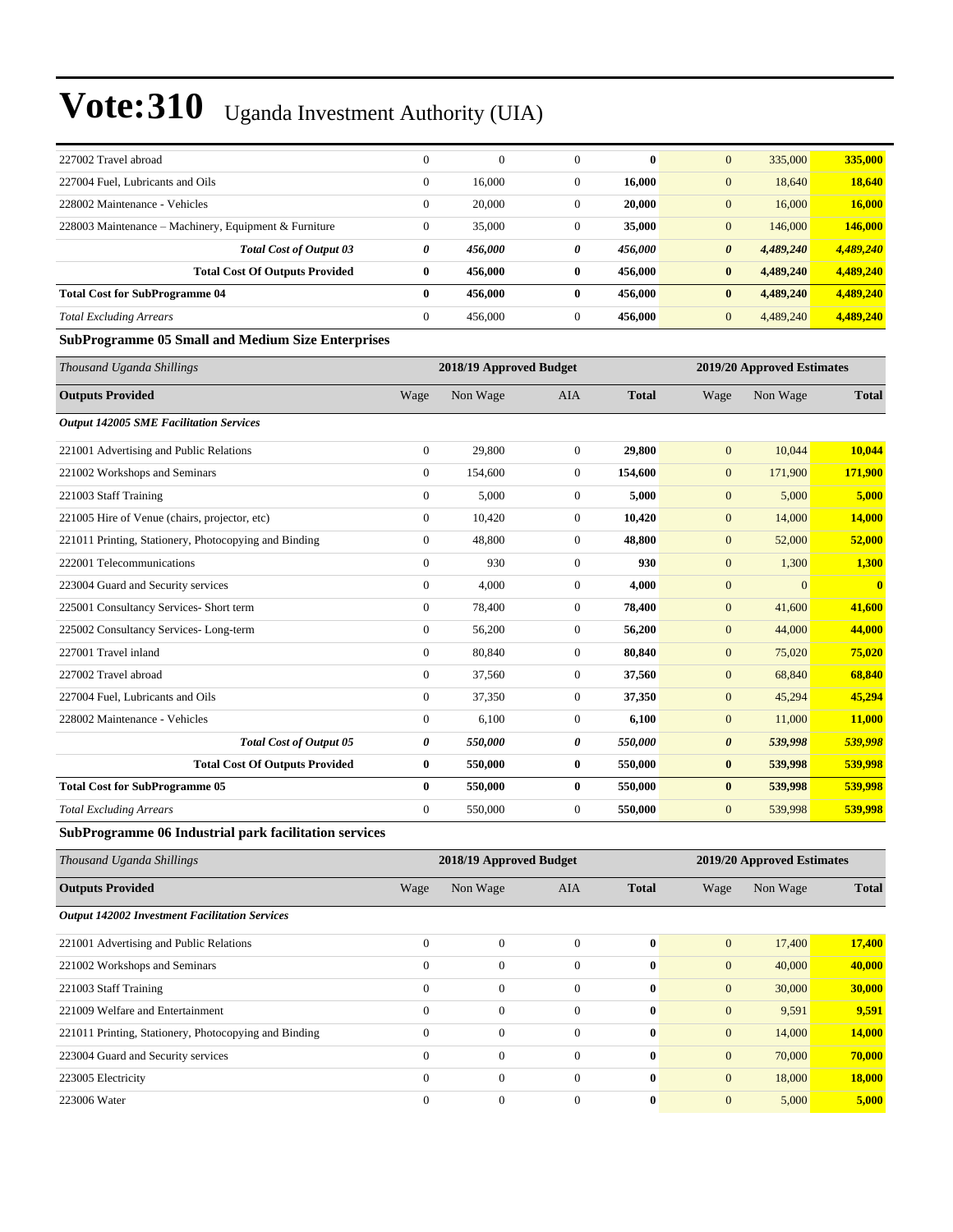| 227002 Travel abroad                                     | $\boldsymbol{0}$      | $\Omega$                | $\overline{0}$   | $\mathbf{0}$ | $\mathbf{0}$          | 335,000                    | 335,000      |
|----------------------------------------------------------|-----------------------|-------------------------|------------------|--------------|-----------------------|----------------------------|--------------|
| 227004 Fuel, Lubricants and Oils                         | $\overline{0}$        | 16,000                  | $\boldsymbol{0}$ | 16,000       | $\mathbf{0}$          | 18,640                     | 18,640       |
| 228002 Maintenance - Vehicles                            | $\mathbf{0}$          | 20,000                  | $\boldsymbol{0}$ | 20,000       | $\boldsymbol{0}$      | 16,000                     | 16,000       |
| 228003 Maintenance - Machinery, Equipment & Furniture    | $\mathbf{0}$          | 35,000                  | $\boldsymbol{0}$ | 35,000       | $\mathbf{0}$          | 146,000                    | 146,000      |
| <b>Total Cost of Output 03</b>                           | $\boldsymbol{\theta}$ | 456,000                 | 0                | 456,000      | $\boldsymbol{\theta}$ | 4,489,240                  | 4,489,240    |
| <b>Total Cost Of Outputs Provided</b>                    | $\bf{0}$              | 456,000                 | $\bf{0}$         | 456,000      | $\bf{0}$              | 4,489,240                  | 4,489,240    |
| <b>Total Cost for SubProgramme 04</b>                    | $\bf{0}$              | 456,000                 | $\bf{0}$         | 456,000      | $\bf{0}$              | 4,489,240                  | 4,489,240    |
| <b>Total Excluding Arrears</b>                           | $\boldsymbol{0}$      | 456,000                 | $\overline{0}$   | 456,000      | $\mathbf{0}$          | 4,489,240                  | 4,489,240    |
| <b>SubProgramme 05 Small and Medium Size Enterprises</b> |                       |                         |                  |              |                       |                            |              |
| Thousand Uganda Shillings                                |                       | 2018/19 Approved Budget |                  |              |                       | 2019/20 Approved Estimates |              |
| <b>Outputs Provided</b>                                  | Wage                  | Non Wage                | AIA              | <b>Total</b> | Wage                  | Non Wage                   | <b>Total</b> |
| <b>Output 142005 SME Facilitation Services</b>           |                       |                         |                  |              |                       |                            |              |
| 221001 Advertising and Public Relations                  | $\boldsymbol{0}$      | 29,800                  | $\boldsymbol{0}$ | 29,800       | $\mathbf{0}$          | 10,044                     | 10,044       |
| 221002 Workshops and Seminars                            | $\overline{0}$        | 154,600                 | $\overline{0}$   | 154,600      | $\boldsymbol{0}$      | 171,900                    | 171,900      |
| 221003 Staff Training                                    | $\mathbf{0}$          | 5,000                   | $\mathbf{0}$     | 5,000        | $\mathbf{0}$          | 5,000                      | 5,000        |
| 221005 Hire of Venue (chairs, projector, etc)            | $\overline{0}$        | 10,420                  | $\overline{0}$   | 10,420       | $\mathbf{0}$          | 14,000                     | 14,000       |
| 221011 Printing, Stationery, Photocopying and Binding    | $\mathbf{0}$          | 48,800                  | $\overline{0}$   | 48,800       | $\mathbf{0}$          | 52,000                     | 52,000       |
| 222001 Telecommunications                                | $\mathbf{0}$          | 930                     | $\overline{0}$   | 930          | $\mathbf{0}$          | 1,300                      | 1,300        |
| 223004 Guard and Security services                       | $\boldsymbol{0}$      | 4,000                   | $\boldsymbol{0}$ | 4,000        | $\mathbf{0}$          | $\mathbf{0}$               | $\mathbf{0}$ |
| 225001 Consultancy Services- Short term                  | $\mathbf{0}$          | 78,400                  | $\overline{0}$   | 78,400       | $\mathbf{0}$          | 41,600                     | 41,600       |
| 225002 Consultancy Services-Long-term                    | $\mathbf{0}$          | 56,200                  | $\overline{0}$   | 56,200       | $\mathbf{0}$          | 44,000                     | 44,000       |
| 227001 Travel inland                                     | $\boldsymbol{0}$      | 80,840                  | $\boldsymbol{0}$ | 80,840       | $\mathbf{0}$          | 75,020                     | 75,020       |
| 227002 Travel abroad                                     | $\boldsymbol{0}$      | 37,560                  | $\boldsymbol{0}$ | 37,560       | $\boldsymbol{0}$      | 68,840                     | 68,840       |
| 227004 Fuel, Lubricants and Oils                         | $\boldsymbol{0}$      | 37,350                  | $\boldsymbol{0}$ | 37,350       | $\boldsymbol{0}$      | 45,294                     | 45,294       |
| 228002 Maintenance - Vehicles                            | $\mathbf{0}$          | 6,100                   | $\boldsymbol{0}$ | 6,100        | $\boldsymbol{0}$      | 11,000                     | 11,000       |
| <b>Total Cost of Output 05</b>                           | $\pmb{\theta}$        | 550,000                 | 0                | 550,000      | $\boldsymbol{\theta}$ | 539,998                    | 539,998      |
| <b>Total Cost Of Outputs Provided</b>                    | $\bf{0}$              | 550,000                 | $\bf{0}$         | 550,000      | $\bf{0}$              | 539,998                    | 539,998      |
| <b>Total Cost for SubProgramme 05</b>                    | $\bf{0}$              | 550,000                 | $\bf{0}$         | 550,000      | $\bf{0}$              | 539,998                    | 539,998      |
| <b>Total Excluding Arrears</b>                           | $\mathbf{0}$          | 550,000                 | $\mathbf{0}$     | 550,000      | $\mathbf{0}$          | 539,998                    | 539,998      |
|                                                          |                       |                         |                  |              |                       |                            |              |

#### **SubProgramme 06 Industrial park facilitation services**

| Thousand Uganda Shillings                             | 2018/19 Approved Budget |                  |              |              |              | 2019/20 Approved Estimates |              |  |
|-------------------------------------------------------|-------------------------|------------------|--------------|--------------|--------------|----------------------------|--------------|--|
| <b>Outputs Provided</b>                               | Wage                    | Non Wage         | AIA          | <b>Total</b> | Wage         | Non Wage                   | <b>Total</b> |  |
| <b>Output 142002 Investment Facilitation Services</b> |                         |                  |              |              |              |                            |              |  |
| 221001 Advertising and Public Relations               | $\overline{0}$          | $\Omega$         | $\Omega$     | $\bf{0}$     | $\mathbf{0}$ | 17,400                     | 17,400       |  |
| 221002 Workshops and Seminars                         | $\mathbf{0}$            | $\boldsymbol{0}$ | $\mathbf{0}$ | $\mathbf{0}$ | $\mathbf{0}$ | 40,000                     | 40,000       |  |
| 221003 Staff Training                                 | $\overline{0}$          | $\boldsymbol{0}$ | $\mathbf{0}$ | $\bf{0}$     | $\mathbf{0}$ | 30,000                     | 30,000       |  |
| 221009 Welfare and Entertainment                      | $\mathbf{0}$            | $\boldsymbol{0}$ | $\mathbf{0}$ | $\bf{0}$     | $\mathbf{0}$ | 9,591                      | 9,591        |  |
| 221011 Printing, Stationery, Photocopying and Binding | $\Omega$                | $\theta$         | $\Omega$     | $\bf{0}$     | $\mathbf{0}$ | 14,000                     | 14,000       |  |
| 223004 Guard and Security services                    | $\overline{0}$          | $\overline{0}$   | $\mathbf{0}$ | $\bf{0}$     | $\mathbf{0}$ | 70,000                     | 70,000       |  |
| 223005 Electricity                                    | $\overline{0}$          | $\mathbf{0}$     | $\Omega$     | $\bf{0}$     | $\mathbf{0}$ | 18,000                     | 18,000       |  |
| 223006 Water                                          | $\Omega$                | $\overline{0}$   | $\mathbf{0}$ | $\bf{0}$     | $\mathbf{0}$ | 5,000                      | 5,000        |  |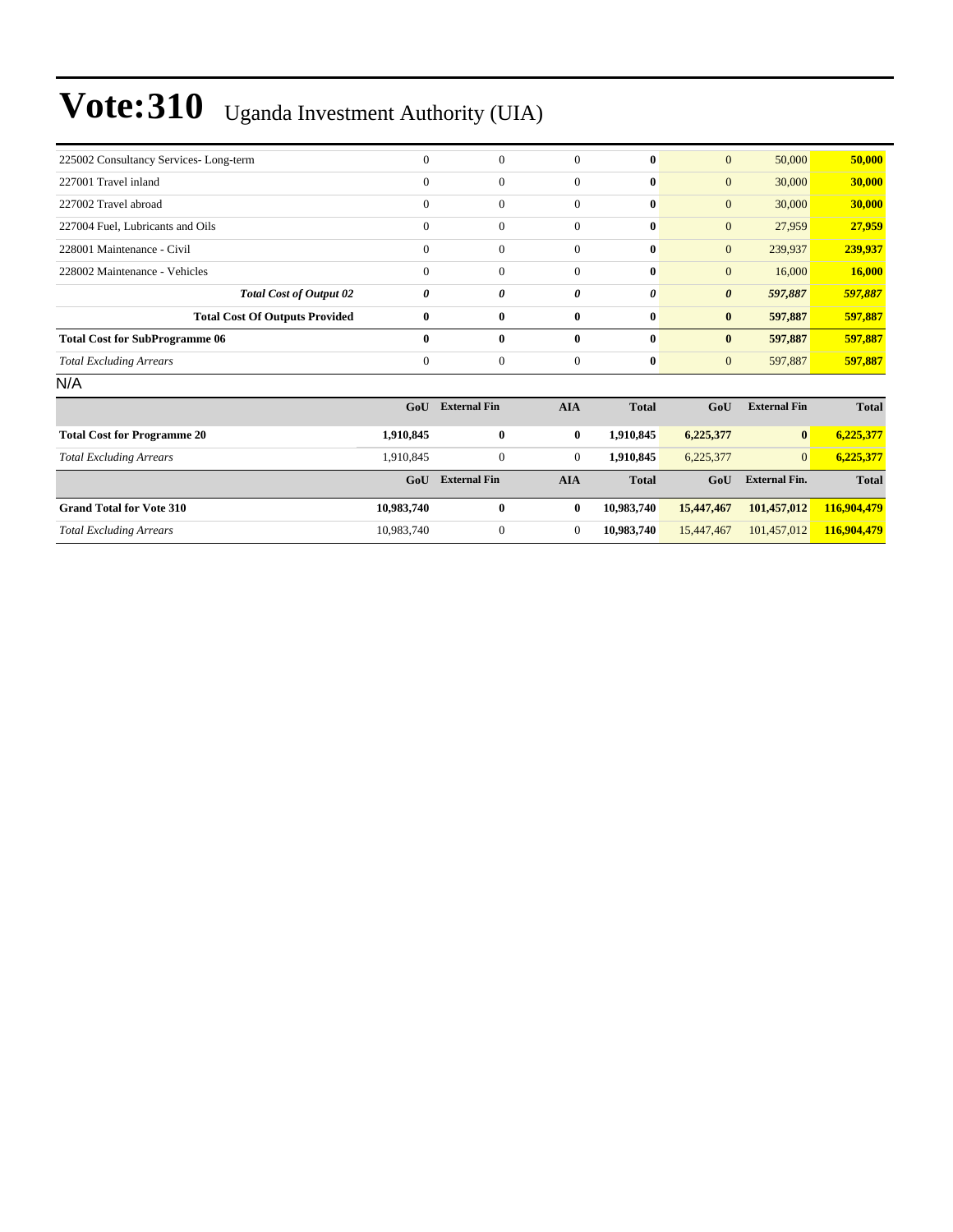| 225002 Consultancy Services-Long-term | $\theta$       | $\theta$       | $\Omega$     | $\mathbf{0}$ | $\mathbf{0}$          | 50,000  | 50,000  |
|---------------------------------------|----------------|----------------|--------------|--------------|-----------------------|---------|---------|
| 227001 Travel inland                  | $\mathbf{0}$   | $\theta$       | 0            | $\mathbf{0}$ | $\mathbf{0}$          | 30,000  | 30,000  |
| 227002 Travel abroad                  | $\mathbf{0}$   | $\overline{0}$ | 0            | $\mathbf{0}$ | $\mathbf{0}$          | 30,000  | 30,000  |
| 227004 Fuel, Lubricants and Oils      | $\mathbf{0}$   | $\theta$       | 0            | $\mathbf{0}$ | $\overline{0}$        | 27,959  | 27,959  |
| 228001 Maintenance - Civil            | $\mathbf{0}$   | $\overline{0}$ | 0            | $\bf{0}$     | $\overline{0}$        | 239,937 | 239,937 |
| 228002 Maintenance - Vehicles         | $\mathbf{0}$   | $\overline{0}$ | $\Omega$     | $\bf{0}$     | $\overline{0}$        | 16,000  | 16,000  |
| <b>Total Cost of Output 02</b>        | 0              | 0              | 0            | 0            | $\boldsymbol{\theta}$ | 597,887 | 597,887 |
| <b>Total Cost Of Outputs Provided</b> | $\bf{0}$       | $\bf{0}$       | $\bf{0}$     | $\bf{0}$     | $\bf{0}$              | 597,887 | 597,887 |
| <b>Total Cost for SubProgramme 06</b> | $\mathbf{0}$   | $\bf{0}$       | $\mathbf{0}$ | $\mathbf{0}$ | $\bf{0}$              | 597,887 | 597,887 |
| <b>Total Excluding Arrears</b>        | $\overline{0}$ | $\theta$       | $\Omega$     | $\bf{0}$     | $\mathbf{0}$          | 597,887 | 597,887 |
| N/A                                   |                |                |              |              |                       |         |         |

|                                    | GoU        | <b>External Fin</b> | <b>AIA</b> | <b>Total</b> | GoU        | <b>External Fin</b>  | <b>Total</b> |
|------------------------------------|------------|---------------------|------------|--------------|------------|----------------------|--------------|
| <b>Total Cost for Programme 20</b> | 1,910,845  | $\bf{0}$            | $\bf{0}$   | 1.910.845    | 6,225,377  | $\bf{0}$             | 6,225,377    |
| <b>Total Excluding Arrears</b>     | 1.910.845  | $\mathbf{0}$        | 0          | 1.910.845    | 6,225,377  | $\overline{0}$       | 6.225.377    |
|                                    | GoU        | <b>External Fin</b> | <b>AIA</b> | <b>Total</b> | GoU        | <b>External Fin.</b> | <b>Total</b> |
| <b>Grand Total for Vote 310</b>    | 10.983.740 | $\bf{0}$            | $\bf{0}$   | 10.983.740   | 15,447,467 | 101.457.012          | 116,904,479  |
| <b>Total Excluding Arrears</b>     | 10.983.740 | $\mathbf{0}$        | 0          | 10.983.740   | 15.447.467 | 101.457.012          | 116,904,479  |